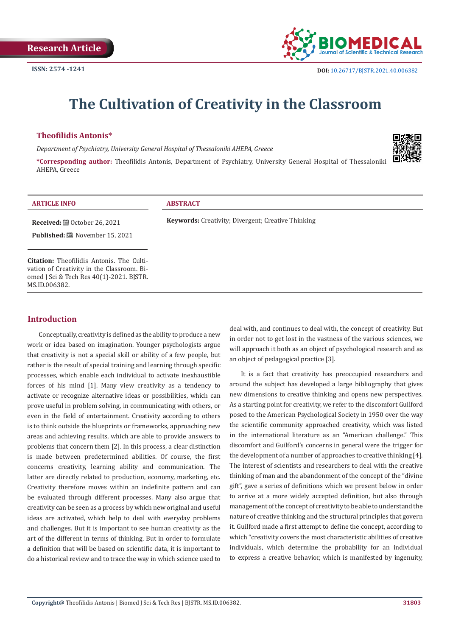

# **The Cultivation of Creativity in the Classroom**

# **Theofilidis Antonis\***

*Department of Psychiatry, University General Hospital of Thessaloniki AHEPA, Greece*

**\*Corresponding author:** Theofilidis Antonis, Department of Psychiatry, University General Hospital of Thessaloniki AHEPA, Greece



| <b>ARTICLE INFO</b>                                                                            | <b>ABSTRACT</b>                                           |
|------------------------------------------------------------------------------------------------|-----------------------------------------------------------|
| <b>Received:</b> $\mathbf{B}$ October 26, 2021                                                 | <b>Keywords:</b> Creativity; Divergent; Creative Thinking |
| <b>Published:</b> ■ November 15, 2021                                                          |                                                           |
|                                                                                                |                                                           |
| <b>Citation:</b> Theofilidis Antonis. The Culti-<br>vation of Creativity in the Classroom. Bi- |                                                           |
| omed J Sci & Tech Res 40(1)-2021. BJSTR.                                                       |                                                           |
| MS.ID.006382.                                                                                  |                                                           |

# **Introduction**

Conceptually, creativity is defined as the ability to produce a new work or idea based on imagination. Younger psychologists argue that creativity is not a special skill or ability of a few people, but rather is the result of special training and learning through specific processes, which enable each individual to activate inexhaustible forces of his mind [1]. Many view creativity as a tendency to activate or recognize alternative ideas or possibilities, which can prove useful in problem solving, in communicating with others, or even in the field of entertainment. Creativity according to others is to think outside the blueprints or frameworks, approaching new areas and achieving results, which are able to provide answers to problems that concern them [2]. In this process, a clear distinction is made between predetermined abilities. Of course, the first concerns creativity, learning ability and communication. The latter are directly related to production, economy, marketing, etc. Creativity therefore moves within an indefinite pattern and can be evaluated through different processes. Many also argue that creativity can be seen as a process by which new original and useful ideas are activated, which help to deal with everyday problems and challenges. But it is important to see human creativity as the art of the different in terms of thinking. But in order to formulate a definition that will be based on scientific data, it is important to do a historical review and to trace the way in which science used to

deal with, and continues to deal with, the concept of creativity. But in order not to get lost in the vastness of the various sciences, we will approach it both as an object of psychological research and as an object of pedagogical practice [3].

It is a fact that creativity has preoccupied researchers and around the subject has developed a large bibliography that gives new dimensions to creative thinking and opens new perspectives. As a starting point for creativity, we refer to the discomfort Guilford posed to the American Psychological Society in 1950 over the way the scientific community approached creativity, which was listed in the international literature as an "American challenge." This discomfort and Guilford's concerns in general were the trigger for the development of a number of approaches to creative thinking [4]. The interest of scientists and researchers to deal with the creative thinking of man and the abandonment of the concept of the "divine gift", gave a series of definitions which we present below in order to arrive at a more widely accepted definition, but also through management of the concept of creativity to be able to understand the nature of creative thinking and the structural principles that govern it. Guilford made a first attempt to define the concept, according to which "creativity covers the most characteristic abilities of creative individuals, which determine the probability for an individual to express a creative behavior, which is manifested by ingenuity,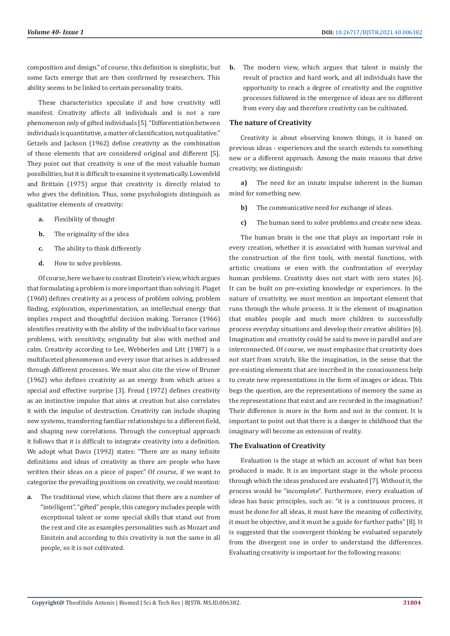composition and design." of course, this definition is simplistic, but some facts emerge that are then confirmed by researchers. This ability seems to be linked to certain personality traits.

These characteristics speculate if and how creativity will manifest. Creativity affects all individuals and is not a rare phenomenon only of gifted individuals [5]. "Differentiation between individuals is quantitative, a matter of classification, not qualitative." Getzels and Jackson (1962) define creativity as the combination of those elements that are considered original and different [5]. They point out that creativity is one of the most valuable human possibilities, but it is difficult to examine it systematically. Lowenfeld and Brittain (1975) argue that creativity is directly related to who gives the definition. Thus, some psychologists distinguish as qualitative elements of creativity:

- **a.** Flexibility of thought
- **b.** The originality of the idea
- **c.** The ability to think differently
- **d.** How to solve problems.

Of course, here we have to contrast Einstein's view, which argues that formulating a problem is more important than solving it. Piaget (1960) defines creativity as a process of problem solving, problem finding, exploration, experimentation, an intellectual energy that implies respect and thoughtful decision making. Torrance (1966) identifies creativity with the ability of the individual to face various problems, with sensitivity, originality but also with method and calm. Creativity according to Lee, Webberlen and Litt (1987) is a multifaceted phenomenon and every issue that arises is addressed through different processes. We must also cite the view of Bruner (1962) who defines creativity as an energy from which arises a special and effective surprise [3]. Freud (1972) defines creativity as an instinctive impulse that aims at creation but also correlates it with the impulse of destruction. Creativity can include shaping new systems, transferring familiar relationships to a different field, and shaping new correlations. Through the conceptual approach it follows that it is difficult to integrate creativity into a definition. We adopt what Davis (1992) states: "There are as many infinite definitions and ideas of creativity as there are people who have written their ideas on a piece of paper." Of course, if we want to categorize the prevailing positions on creativity, we could mention:

**a.** The traditional view, which claims that there are a number of "intelligent", "gifted" people, this category includes people with exceptional talent or some special skills that stand out from the rest and cite as examples personalities such as Mozart and Einstein and according to this creativity is not the same in all people, so it is not cultivated.

**b.** The modern view, which argues that talent is mainly the result of practice and hard work, and all individuals have the opportunity to reach a degree of creativity and the cognitive processes followed in the emergence of ideas are no different from every day and therefore creativity can be cultivated.

### **The nature of Creativity**

Creativity is about observing known things, it is based on previous ideas - experiences and the search extends to something new or a different approach. Among the main reasons that drive creativity, we distinguish:

**a)** The need for an innate impulse inherent in the human mind for something new.

- **b)** The communicative need for exchange of ideas.
- **c)** The human need to solve problems and create new ideas.

The human brain is the one that plays an important role in every creation, whether it is associated with human survival and the construction of the first tools, with mental functions, with artistic creations or even with the confrontation of everyday human problems. Creativity does not start with zero states [6]. It can be built on pre-existing knowledge or experiences. In the nature of creativity, we must mention an important element that runs through the whole process. It is the element of imagination that enables people and much more children to successfully process everyday situations and develop their creative abilities [6]. Imagination and creativity could be said to move in parallel and are interconnected. Of course, we must emphasize that creativity does not start from scratch, like the imagination, in the sense that the pre-existing elements that are inscribed in the consciousness help to create new representations in the form of images or ideas. This begs the question, are the representations of memory the same as the representations that exist and are recorded in the imagination? Their difference is more in the form and not in the content. It is important to point out that there is a danger in childhood that the imaginary will become an extension of reality.

#### **The Evaluation of Creativity**

Evaluation is the stage at which an account of what has been produced is made. It is an important stage in the whole process through which the ideas produced are evaluated [7]. Without it, the process would be "incomplete". Furthermore, every evaluation of ideas has basic principles, such as: "it is a continuous process, it must be done for all ideas, it must have the meaning of collectivity, it must be objective, and it must be a guide for further paths" [8]. It is suggested that the convergent thinking be evaluated separately from the divergent one in order to understand the differences. Evaluating creativity is important for the following reasons: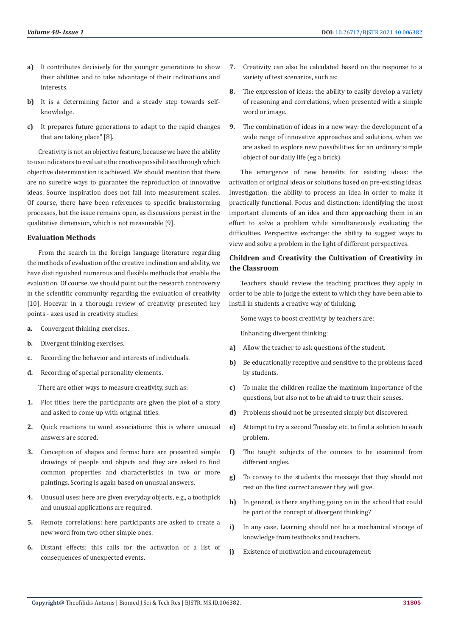- **a)** It contributes decisively for the younger generations to show their abilities and to take advantage of their inclinations and interests.
- **b)** It is a determining factor and a steady step towards selfknowledge.
- **c)** It prepares future generations to adapt to the rapid changes that are taking place" [8].

Creativity is not an objective feature, because we have the ability to use indicators to evaluate the creative possibilities through which objective determination is achieved. We should mention that there are no surefire ways to guarantee the reproduction of innovative ideas. Source inspiration does not fall into measurement scales. Of course, there have been references to specific brainstorming processes, but the issue remains open, as discussions persist in the qualitative dimension, which is not measurable [9].

# **Evaluation Methods**

From the search in the foreign language literature regarding the methods of evaluation of the creative inclination and ability, we have distinguished numerous and flexible methods that enable the evaluation. Of course, we should point out the research controversy in the scientific community regarding the evaluation of creativity [10]. Hocevar in a thorough review of creativity presented key points - axes used in creativity studies:

- **a.** Convergent thinking exercises.
- **b.** Divergent thinking exercises.
- **c.** Recording the behavior and interests of individuals.
- **d.** Recording of special personality elements.

There are other ways to measure creativity, such as:

- **1.** Plot titles: here the participants are given the plot of a story and asked to come up with original titles.
- **2.** Quick reactions to word associations: this is where unusual answers are scored.
- **3.** Conception of shapes and forms: here are presented simple drawings of people and objects and they are asked to find common properties and characteristics in two or more paintings. Scoring is again based on unusual answers.
- **4.** Unusual uses: here are given everyday objects, e.g., a toothpick and unusual applications are required.
- **5.** Remote correlations: here participants are asked to create a new word from two other simple ones.
- **6.** Distant effects: this calls for the activation of a list of consequences of unexpected events.
- **7.** Creativity can also be calculated based on the response to a variety of test scenarios, such as:
- **8.** The expression of ideas: the ability to easily develop a variety of reasoning and correlations, when presented with a simple word or image.
- **9.** The combination of ideas in a new way: the development of a wide range of innovative approaches and solutions, when we are asked to explore new possibilities for an ordinary simple object of our daily life (eg a brick).

The emergence of new benefits for existing ideas: the activation of original ideas or solutions based on pre-existing ideas. Investigation: the ability to process an idea in order to make it practically functional. Focus and distinction: identifying the most important elements of an idea and then approaching them in an effort to solve a problem while simultaneously evaluating the difficulties. Perspective exchange: the ability to suggest ways to view and solve a problem in the light of different perspectives.

# **Children and Creativity the Cultivation of Creativity in the Classroom**

Teachers should review the teaching practices they apply in order to be able to judge the extent to which they have been able to instill in students a creative way of thinking.

Some ways to boost creativity by teachers are:

Enhancing divergent thinking:

- **a)** Allow the teacher to ask questions of the student.
- **b)** Be educationally receptive and sensitive to the problems faced by students.
- **c)** To make the children realize the maximum importance of the questions, but also not to be afraid to trust their senses.
- **d)** Problems should not be presented simply but discovered.
- **e)** Attempt to try a second Tuesday etc. to find a solution to each problem.
- **f)** The taught subjects of the courses to be examined from different angles.
- **g)** To convey to the students the message that they should not rest on the first correct answer they will give.
- **h)** In general, is there anything going on in the school that could be part of the concept of divergent thinking?
- **i)** In any case, Learning should not be a mechanical storage of knowledge from textbooks and teachers.
- **j)** Existence of motivation and encouragement: